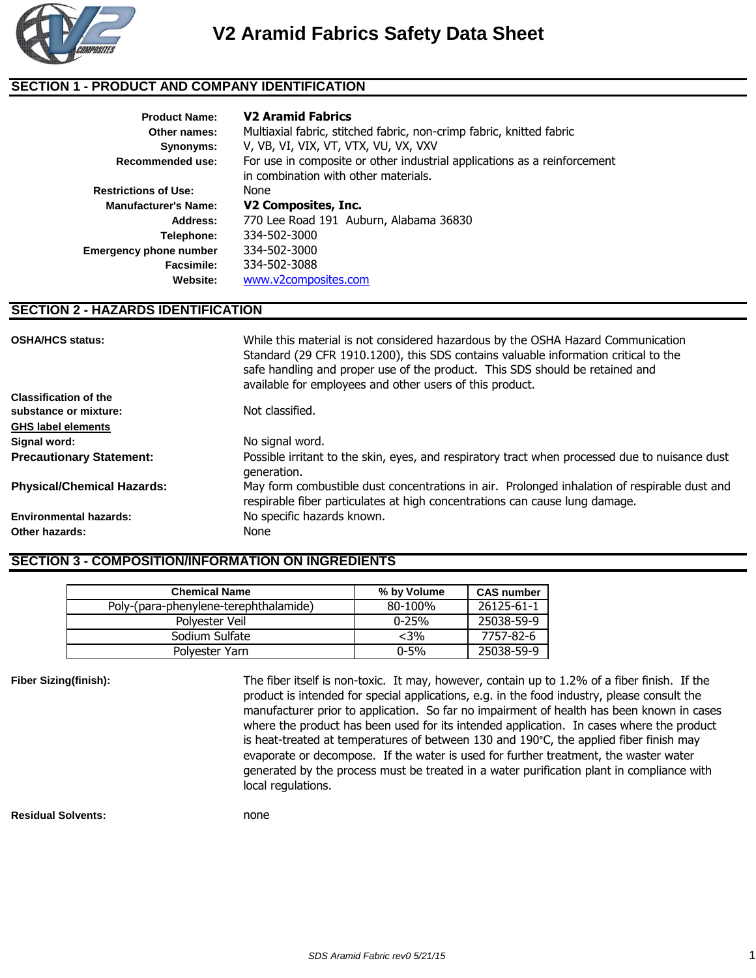

### **SECTION 1 - PRODUCT AND COMPANY IDENTIFICATION**

| <b>Product Name:</b>          | <b>V2 Aramid Fabrics</b>                                                                                         |
|-------------------------------|------------------------------------------------------------------------------------------------------------------|
| Other names:                  | Multiaxial fabric, stitched fabric, non-crimp fabric, knitted fabric                                             |
| Synonyms:                     | V, VB, VI, VIX, VT, VTX, VU, VX, VXV                                                                             |
| Recommended use:              | For use in composite or other industrial applications as a reinforcement<br>in combination with other materials. |
| <b>Restrictions of Use:</b>   | None                                                                                                             |
| <b>Manufacturer's Name:</b>   | V2 Composites, Inc.                                                                                              |
| Address:                      | 770 Lee Road 191 Auburn, Alabama 36830                                                                           |
| Telephone:                    | 334-502-3000                                                                                                     |
| <b>Emergency phone number</b> | 334-502-3000                                                                                                     |
| Facsimile:                    | 334-502-3088                                                                                                     |
| Website:                      | www.v2composites.com                                                                                             |

#### **SECTION 2 - HAZARDS IDENTIFICATION**

| <b>OSHA/HCS status:</b><br><b>Classification of the</b> | While this material is not considered hazardous by the OSHA Hazard Communication<br>Standard (29 CFR 1910.1200), this SDS contains valuable information critical to the<br>safe handling and proper use of the product. This SDS should be retained and<br>available for employees and other users of this product. |
|---------------------------------------------------------|---------------------------------------------------------------------------------------------------------------------------------------------------------------------------------------------------------------------------------------------------------------------------------------------------------------------|
| substance or mixture:                                   | Not classified.                                                                                                                                                                                                                                                                                                     |
| <b>GHS label elements</b>                               |                                                                                                                                                                                                                                                                                                                     |
| Signal word:                                            | No signal word.                                                                                                                                                                                                                                                                                                     |
| <b>Precautionary Statement:</b>                         | Possible irritant to the skin, eyes, and respiratory tract when processed due to nuisance dust<br>generation.                                                                                                                                                                                                       |
| <b>Physical/Chemical Hazards:</b>                       | May form combustible dust concentrations in air. Prolonged inhalation of respirable dust and<br>respirable fiber particulates at high concentrations can cause lung damage.                                                                                                                                         |
| <b>Environmental hazards:</b>                           | No specific hazards known.                                                                                                                                                                                                                                                                                          |
| Other hazards:                                          | None                                                                                                                                                                                                                                                                                                                |

## **SECTION 3 - COMPOSITION/INFORMATION ON INGREDIENTS**

| <b>Chemical Name</b>                  | % by Volume | <b>CAS number</b> |
|---------------------------------------|-------------|-------------------|
| Poly-(para-phenylene-terephthalamide) | 80-100%     | 26125-61-1        |
| Polyester Veil                        | $0 - 25%$   | 25038-59-9        |
| Sodium Sulfate                        | $<$ 3%      | 7757-82-6         |
| Polyester Yarn                        | $0 - 5\%$   | 25038-59-9        |

**Fiber Sizing(finish):**

The fiber itself is non-toxic. It may, however, contain up to 1.2% of a fiber finish. If the product is intended for special applications, e.g. in the food industry, please consult the manufacturer prior to application. So far no impairment of health has been known in cases where the product has been used for its intended application. In cases where the product is heat-treated at temperatures of between 130 and 190°C, the applied fiber finish may evaporate or decompose. If the water is used for further treatment, the waster water generated by the process must be treated in a water purification plant in compliance with local regulations.

**Residual Solvents:** none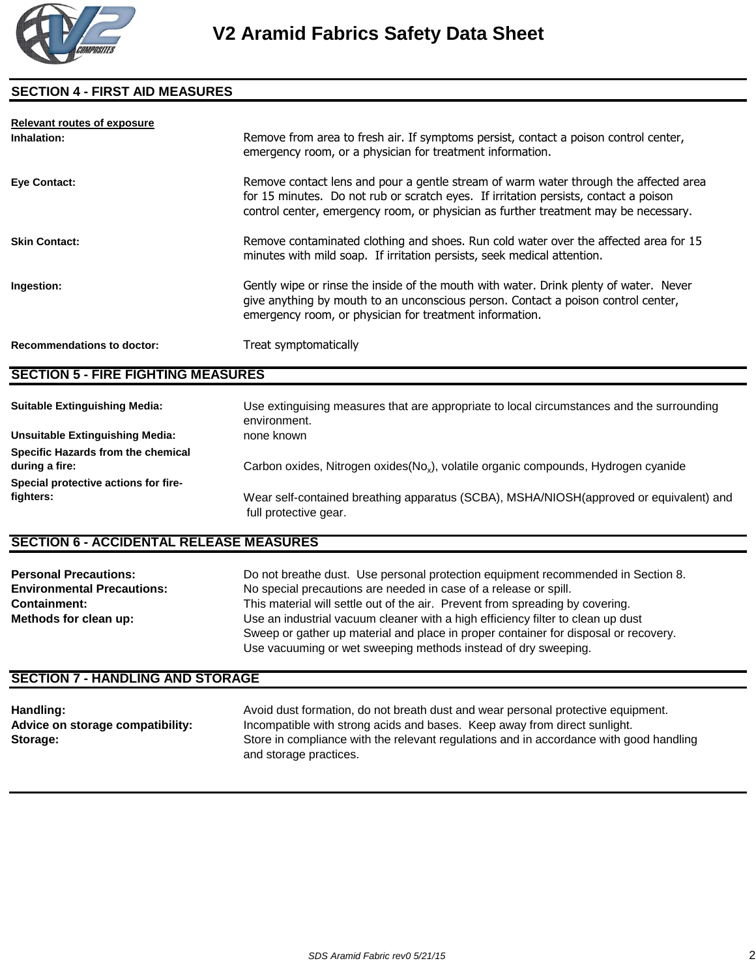

## **SECTION 4 - FIRST AID MEASURES**

| <b>Relevant routes of exposure</b> |                                                                                                                                                                                                                                                                     |
|------------------------------------|---------------------------------------------------------------------------------------------------------------------------------------------------------------------------------------------------------------------------------------------------------------------|
| Inhalation:                        | Remove from area to fresh air. If symptoms persist, contact a poison control center,<br>emergency room, or a physician for treatment information.                                                                                                                   |
| Eye Contact:                       | Remove contact lens and pour a gentle stream of warm water through the affected area<br>for 15 minutes. Do not rub or scratch eyes. If irritation persists, contact a poison<br>control center, emergency room, or physician as further treatment may be necessary. |
| <b>Skin Contact:</b>               | Remove contaminated clothing and shoes. Run cold water over the affected area for 15<br>minutes with mild soap. If irritation persists, seek medical attention.                                                                                                     |
| Ingestion:                         | Gently wipe or rinse the inside of the mouth with water. Drink plenty of water. Never<br>give anything by mouth to an unconscious person. Contact a poison control center,<br>emergency room, or physician for treatment information.                               |
| <b>Recommendations to doctor:</b>  | Treat symptomatically                                                                                                                                                                                                                                               |

## **SECTION 5 - FIRE FIGHTING MEASURES**

| <b>Suitable Extinguishing Media:</b>   | Use extinguising measures that are appropriate to local circumstances and the surrounding<br>environment.       |
|----------------------------------------|-----------------------------------------------------------------------------------------------------------------|
| <b>Unsuitable Extinguishing Media:</b> | none known                                                                                                      |
| Specific Hazards from the chemical     |                                                                                                                 |
| during a fire:                         | Carbon oxides, Nitrogen oxides(No <sub>x</sub> ), volatile organic compounds, Hydrogen cyanide                  |
| Special protective actions for fire-   |                                                                                                                 |
| fighters:                              | Wear self-contained breathing apparatus (SCBA), MSHA/NIOSH(approved or equivalent) and<br>full protective gear. |

## **SECTION 6 - ACCIDENTAL RELEASE MEASURES**

| <b>Personal Precautions:</b>      | Do not breathe dust. Use personal protection equipment recommended in Section 8.    |
|-----------------------------------|-------------------------------------------------------------------------------------|
| <b>Environmental Precautions:</b> | No special precautions are needed in case of a release or spill.                    |
| <b>Containment:</b>               | This material will settle out of the air. Prevent from spreading by covering.       |
| Methods for clean up:             | Use an industrial vacuum cleaner with a high efficiency filter to clean up dust     |
|                                   | Sweep or gather up material and place in proper container for disposal or recovery. |
|                                   | Use vacuuming or wet sweeping methods instead of dry sweeping.                      |

#### **SECTION 7 - HANDLING AND STORAGE**

| Handling:                        | Avoid dust formation, do not breath dust and wear personal protective equipment.                                 |
|----------------------------------|------------------------------------------------------------------------------------------------------------------|
| Advice on storage compatibility: | Incompatible with strong acids and bases. Keep away from direct sunlight.                                        |
| Storage:                         | Store in compliance with the relevant regulations and in accordance with good handling<br>and storage practices. |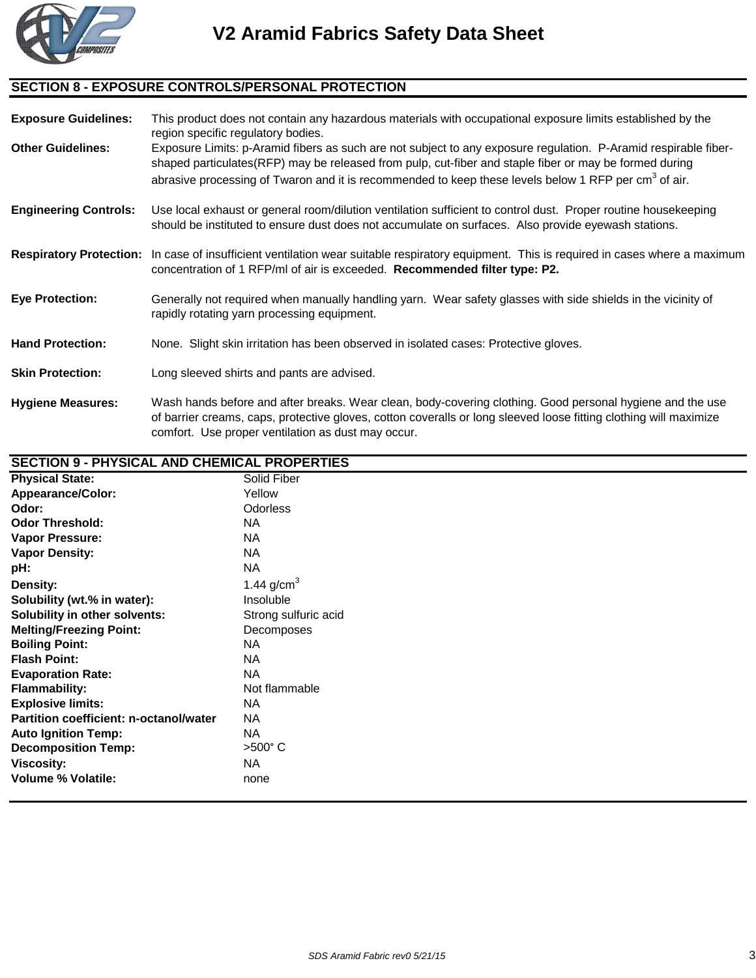

# **SECTION 8 - EXPOSURE CONTROLS/PERSONAL PROTECTION**

| <b>Exposure Guidelines:</b>  | This product does not contain any hazardous materials with occupational exposure limits established by the<br>region specific regulatory bodies.                                                                                                                                                                                              |
|------------------------------|-----------------------------------------------------------------------------------------------------------------------------------------------------------------------------------------------------------------------------------------------------------------------------------------------------------------------------------------------|
| <b>Other Guidelines:</b>     | Exposure Limits: p-Aramid fibers as such are not subject to any exposure regulation. P-Aramid respirable fiber-<br>shaped particulates(RFP) may be released from pulp, cut-fiber and staple fiber or may be formed during<br>abrasive processing of Twaron and it is recommended to keep these levels below 1 RFP per cm <sup>3</sup> of air. |
| <b>Engineering Controls:</b> | Use local exhaust or general room/dilution ventilation sufficient to control dust. Proper routine housekeeping<br>should be instituted to ensure dust does not accumulate on surfaces. Also provide eyewash stations.                                                                                                                         |
|                              | Respiratory Protection: In case of insufficient ventilation wear suitable respiratory equipment. This is required in cases where a maximum<br>concentration of 1 RFP/ml of air is exceeded. Recommended filter type: P2.                                                                                                                      |
| <b>Eye Protection:</b>       | Generally not required when manually handling yarn. Wear safety glasses with side shields in the vicinity of<br>rapidly rotating yarn processing equipment.                                                                                                                                                                                   |
| <b>Hand Protection:</b>      | None. Slight skin irritation has been observed in isolated cases: Protective gloves.                                                                                                                                                                                                                                                          |
| <b>Skin Protection:</b>      | Long sleeved shirts and pants are advised.                                                                                                                                                                                                                                                                                                    |
| <b>Hygiene Measures:</b>     | Wash hands before and after breaks. Wear clean, body-covering clothing. Good personal hygiene and the use<br>of barrier creams, caps, protective gloves, cotton coveralls or long sleeved loose fitting clothing will maximize<br>comfort. Use proper ventilation as dust may occur.                                                          |

## **SECTION 9 - PHYSICAL AND CHEMICAL PROPERTIES**

| <b>Physical State:</b>                 | <b>Solid Fiber</b>   |
|----------------------------------------|----------------------|
| <b>Appearance/Color:</b>               | Yellow               |
| Odor:                                  | <b>Odorless</b>      |
| <b>Odor Threshold:</b>                 | <b>NA</b>            |
| <b>Vapor Pressure:</b>                 | <b>NA</b>            |
| <b>Vapor Density:</b>                  | NA                   |
| pH:                                    | <b>NA</b>            |
| Density:                               | 1.44 $g/cm^{3}$      |
| Solubility (wt.% in water):            | Insoluble            |
| Solubility in other solvents:          | Strong sulfuric acid |
| <b>Melting/Freezing Point:</b>         | Decomposes           |
| <b>Boiling Point:</b>                  | <b>NA</b>            |
| <b>Flash Point:</b>                    | <b>NA</b>            |
| <b>Evaporation Rate:</b>               | <b>NA</b>            |
| <b>Flammability:</b>                   | Not flammable        |
| <b>Explosive limits:</b>               | NA                   |
| Partition coefficient: n-octanol/water | <b>NA</b>            |
| <b>Auto Ignition Temp:</b>             | <b>NA</b>            |
| <b>Decomposition Temp:</b>             | $>500^\circ$ C       |
| <b>Viscosity:</b>                      | NA                   |
| <b>Volume % Volatile:</b>              | none                 |
|                                        |                      |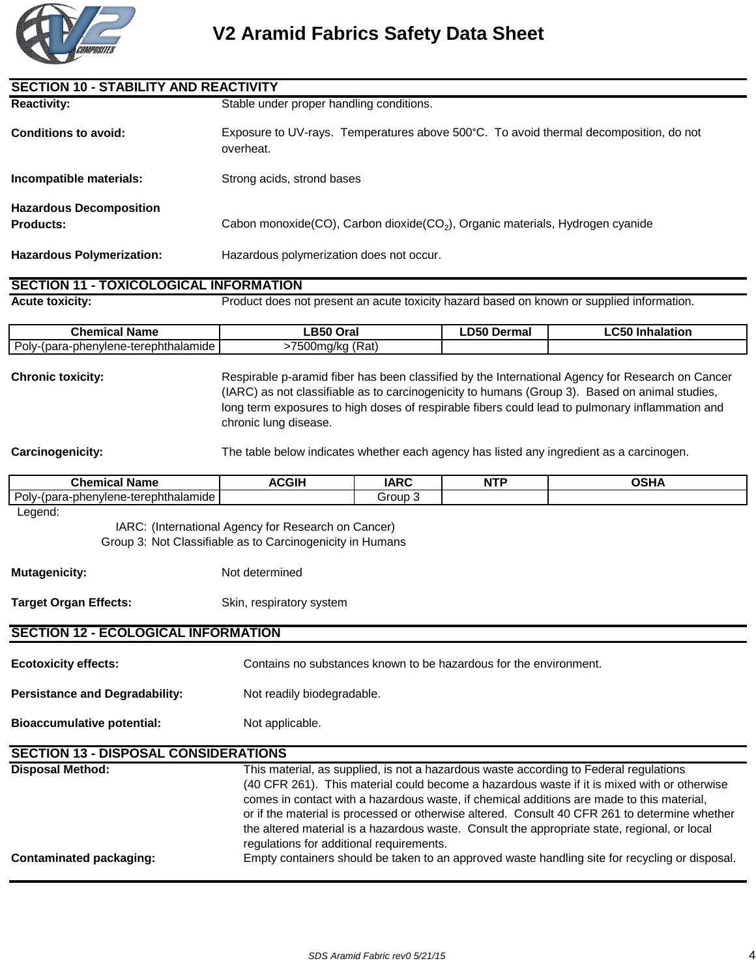

| <b>SECTION 10 - STABILITY AND REACTIVITY</b>                                                                                |                                                                                                                                                                                                                                                                                                                                                                                                                                                                                                                                |             |                    |                                                                                           |
|-----------------------------------------------------------------------------------------------------------------------------|--------------------------------------------------------------------------------------------------------------------------------------------------------------------------------------------------------------------------------------------------------------------------------------------------------------------------------------------------------------------------------------------------------------------------------------------------------------------------------------------------------------------------------|-------------|--------------------|-------------------------------------------------------------------------------------------|
| <b>Reactivity:</b>                                                                                                          | Stable under proper handling conditions.                                                                                                                                                                                                                                                                                                                                                                                                                                                                                       |             |                    |                                                                                           |
| <b>Conditions to avoid:</b>                                                                                                 | Exposure to UV-rays. Temperatures above 500°C. To avoid thermal decomposition, do not<br>overheat.                                                                                                                                                                                                                                                                                                                                                                                                                             |             |                    |                                                                                           |
| Incompatible materials:                                                                                                     | Strong acids, strond bases                                                                                                                                                                                                                                                                                                                                                                                                                                                                                                     |             |                    |                                                                                           |
| <b>Hazardous Decomposition</b><br><b>Products:</b>                                                                          | Cabon monoxide(CO), Carbon dioxide(CO <sub>2</sub> ), Organic materials, Hydrogen cyanide                                                                                                                                                                                                                                                                                                                                                                                                                                      |             |                    |                                                                                           |
| <b>Hazardous Polymerization:</b>                                                                                            | Hazardous polymerization does not occur.                                                                                                                                                                                                                                                                                                                                                                                                                                                                                       |             |                    |                                                                                           |
| <b>SECTION 11 - TOXICOLOGICAL INFORMATION</b>                                                                               |                                                                                                                                                                                                                                                                                                                                                                                                                                                                                                                                |             |                    |                                                                                           |
| <b>Acute toxicity:</b>                                                                                                      |                                                                                                                                                                                                                                                                                                                                                                                                                                                                                                                                |             |                    | Product does not present an acute toxicity hazard based on known or supplied information. |
| <b>Chemical Name</b>                                                                                                        | LB50 Oral                                                                                                                                                                                                                                                                                                                                                                                                                                                                                                                      |             | <b>LD50 Dermal</b> | <b>LC50 Inhalation</b>                                                                    |
| Poly-(para-phenylene-terephthalamide                                                                                        | >7500mg/kg (Rat)                                                                                                                                                                                                                                                                                                                                                                                                                                                                                                               |             |                    |                                                                                           |
| <b>Chronic toxicity:</b>                                                                                                    | Respirable p-aramid fiber has been classified by the International Agency for Research on Cancer<br>(IARC) as not classifiable as to carcinogenicity to humans (Group 3). Based on animal studies,<br>long term exposures to high doses of respirable fibers could lead to pulmonary inflammation and<br>chronic lung disease.                                                                                                                                                                                                 |             |                    |                                                                                           |
| <b>Carcinogenicity:</b>                                                                                                     | The table below indicates whether each agency has listed any ingredient as a carcinogen.                                                                                                                                                                                                                                                                                                                                                                                                                                       |             |                    |                                                                                           |
| <b>Chemical Name</b>                                                                                                        | <b>ACGIH</b>                                                                                                                                                                                                                                                                                                                                                                                                                                                                                                                   | <b>IARC</b> | <b>NTP</b>         | <b>OSHA</b>                                                                               |
| Poly-(para-phenylene-terephthalamide                                                                                        |                                                                                                                                                                                                                                                                                                                                                                                                                                                                                                                                | Group 3     |                    |                                                                                           |
| Legend:<br>IARC: (International Agency for Research on Cancer)<br>Group 3: Not Classifiable as to Carcinogenicity in Humans |                                                                                                                                                                                                                                                                                                                                                                                                                                                                                                                                |             |                    |                                                                                           |
| <b>Mutagenicity:</b>                                                                                                        | Not determined                                                                                                                                                                                                                                                                                                                                                                                                                                                                                                                 |             |                    |                                                                                           |
| <b>Target Organ Effects:</b>                                                                                                | Skin, respiratory system                                                                                                                                                                                                                                                                                                                                                                                                                                                                                                       |             |                    |                                                                                           |
| <b>SECTION 12 - ECOLOGICAL INFORMATION</b>                                                                                  |                                                                                                                                                                                                                                                                                                                                                                                                                                                                                                                                |             |                    |                                                                                           |
| <b>Ecotoxicity effects:</b>                                                                                                 | Contains no substances known to be hazardous for the environment.                                                                                                                                                                                                                                                                                                                                                                                                                                                              |             |                    |                                                                                           |
| <b>Persistance and Degradability:</b>                                                                                       | Not readily biodegradable.                                                                                                                                                                                                                                                                                                                                                                                                                                                                                                     |             |                    |                                                                                           |
| <b>Bioaccumulative potential:</b>                                                                                           | Not applicable.                                                                                                                                                                                                                                                                                                                                                                                                                                                                                                                |             |                    |                                                                                           |
| <b>SECTION 13 - DISPOSAL CONSIDERATIONS</b>                                                                                 |                                                                                                                                                                                                                                                                                                                                                                                                                                                                                                                                |             |                    |                                                                                           |
| <b>Disposal Method:</b>                                                                                                     | This material, as supplied, is not a hazardous waste according to Federal regulations<br>(40 CFR 261). This material could become a hazardous waste if it is mixed with or otherwise<br>comes in contact with a hazardous waste, if chemical additions are made to this material,<br>or if the material is processed or otherwise altered. Consult 40 CFR 261 to determine whether<br>the altered material is a hazardous waste. Consult the appropriate state, regional, or local<br>regulations for additional requirements. |             |                    |                                                                                           |